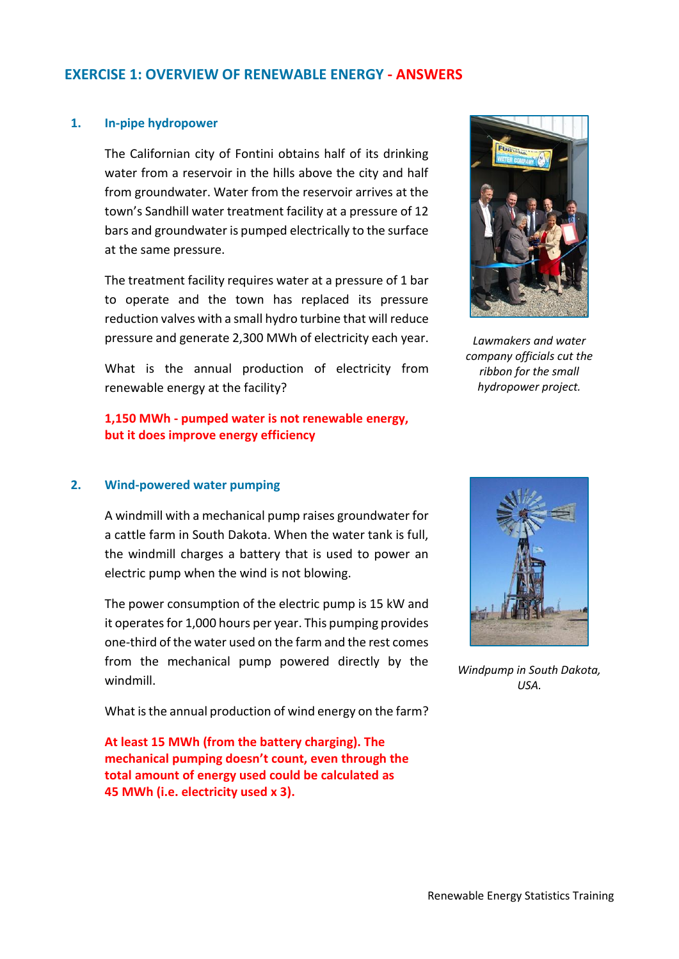# **EXERCISE 1: OVERVIEW OF RENEWABLE ENERGY - ANSWERS**

#### **1. In-pipe hydropower**

The Californian city of Fontini obtains half of its drinking water from a reservoir in the hills above the city and half from groundwater. Water from the reservoir arrives at the town's Sandhill water treatment facility at a pressure of 12 bars and groundwater is pumped electrically to the surface at the same pressure.

The treatment facility requires water at a pressure of 1 bar to operate and the town has replaced its pressure reduction valves with a small hydro turbine that will reduce pressure and generate 2,300 MWh of electricity each year.

What is the annual production of electricity from renewable energy at the facility?

**1,150 MWh - pumped water is not renewable energy, but it does improve energy efficiency**

*Lawmakers and water company officials cut the ribbon for the small hydropower project.*

# **2. Wind-powered water pumping**

A windmill with a mechanical pump raises groundwater for a cattle farm in South Dakota. When the water tank is full, the windmill charges a battery that is used to power an electric pump when the wind is not blowing.

The power consumption of the electric pump is 15 kW and it operates for 1,000 hours per year. This pumping provides one-third of the water used on the farm and the rest comes from the mechanical pump powered directly by the windmill.

What is the annual production of wind energy on the farm?

**At least 15 MWh (from the battery charging). The mechanical pumping doesn't count, even through the total amount of energy used could be calculated as 45 MWh (i.e. electricity used x 3).**



*Windpump in South Dakota, USA.*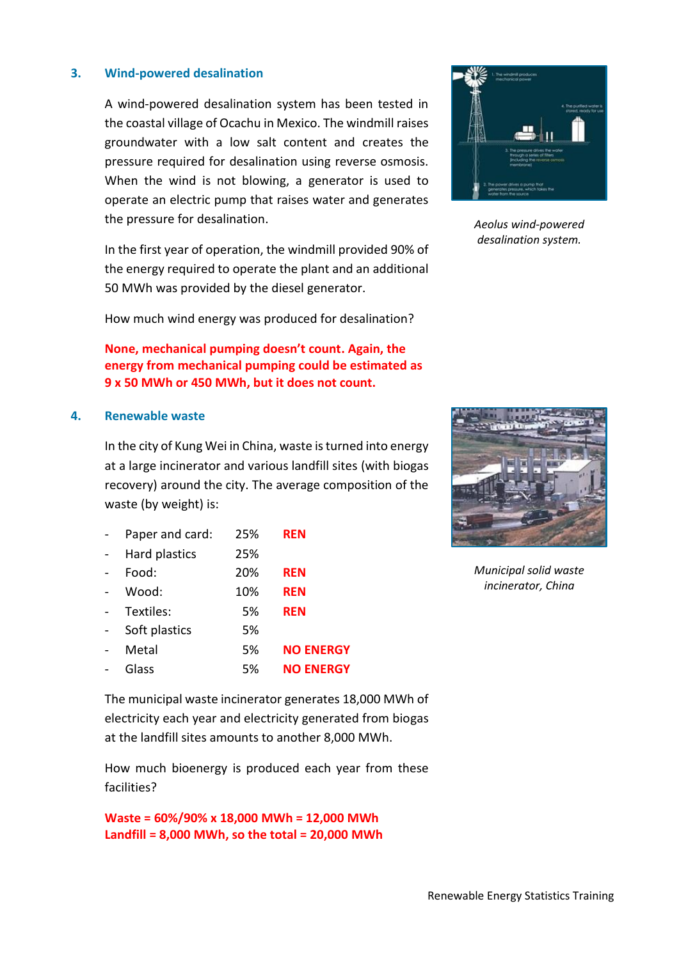# **3. Wind-powered desalination**

A wind-powered desalination system has been tested in the coastal village of Ocachu in Mexico. The windmill raises groundwater with a low salt content and creates the pressure required for desalination using reverse osmosis. When the wind is not blowing, a generator is used to operate an electric pump that raises water and generates the pressure for desalination.

In the first year of operation, the windmill provided 90% of the energy required to operate the plant and an additional 50 MWh was provided by the diesel generator.

How much wind energy was produced for desalination?

# **None, mechanical pumping doesn't count. Again, the energy from mechanical pumping could be estimated as 9 x 50 MWh or 450 MWh, but it does not count.**

#### **4. Renewable waste**

In the city of Kung Wei in China, waste is turned into energy at a large incinerator and various landfill sites (with biogas recovery) around the city. The average composition of the waste (by weight) is:

| Paper and card: | 25% | <b>REN</b>       |
|-----------------|-----|------------------|
| Hard plastics   | 25% |                  |
| Food:           | 20% | <b>REN</b>       |
| Wood:           | 10% | <b>REN</b>       |
| Textiles:       | 5%  | <b>REN</b>       |
| Soft plastics   | 5%  |                  |
| Metal           | 5%  | <b>NO ENERGY</b> |
| Glass           | 5%  | <b>NO ENERGY</b> |





electricity each year and electricity generated from biogas at the landfill sites amounts to another 8,000 MWh.

How much bioenergy is produced each year from these facilities?

**Waste = 60%/90% x 18,000 MWh = 12,000 MWh Landfill = 8,000 MWh, so the total = 20,000 MWh**



*Aeolus wind-powered desalination system.*



*Municipal solid waste incinerator, China*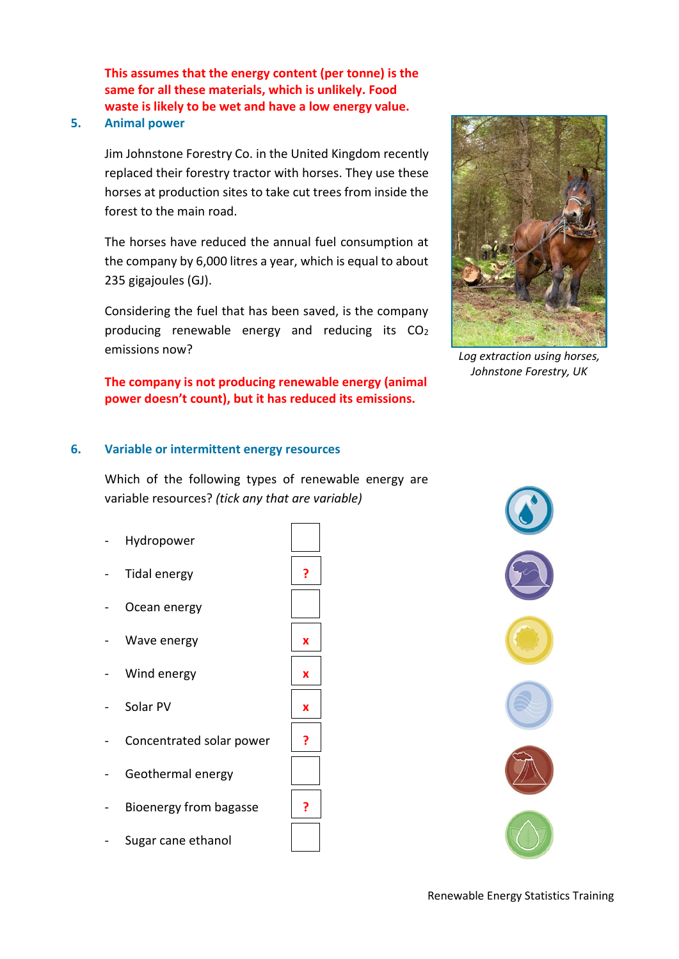**This assumes that the energy content (per tonne) is the same for all these materials, which is unlikely. Food waste is likely to be wet and have a low energy value.**

# **5. Animal power**

Jim Johnstone Forestry Co. in the United Kingdom recently replaced their forestry tractor with horses. They use these horses at production sites to take cut trees from inside the forest to the main road.

The horses have reduced the annual fuel consumption at the company by 6,000 litres a year, which is equal to about 235 gigajoules (GJ).

Considering the fuel that has been saved, is the company producing renewable energy and reducing its  $CO<sub>2</sub>$ emissions now?

**The company is not producing renewable energy (animal power doesn't count), but it has reduced its emissions.**

#### **6. Variable or intermittent energy resources**

Which of the following types of renewable energy are variable resources? *(tick any that are variable)*

- Hydropower \_ \_
- Tidal energy \_**?**\_
- Ocean energy
- Wave energy \_**x**\_
- Wind energy \_**x**\_
- Solar PV \_**x**\_
- Concentrated solar power
- Geothermal energy
- Bioenergy from bagasse \_**?**\_
- Sugar cane ethanol

|   | ? |  |
|---|---|--|
|   |   |  |
|   | X |  |
|   | X |  |
|   | X |  |
| r | ? |  |
|   |   |  |
|   | ? |  |
|   |   |  |
|   |   |  |



*Log extraction using horses, Johnstone Forestry, UK*



Renewable Energy Statistics Training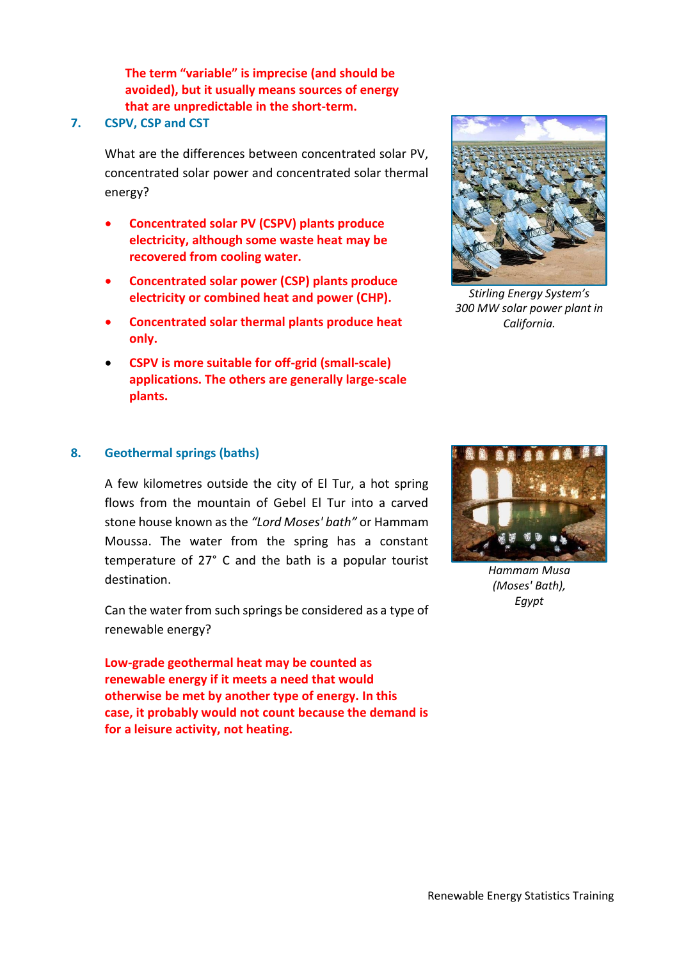**The term "variable" is imprecise (and should be avoided), but it usually means sources of energy that are unpredictable in the short-term.**

# **7. CSPV, CSP and CST**

What are the differences between concentrated solar PV, concentrated solar power and concentrated solar thermal energy?

- **Concentrated solar PV (CSPV) plants produce electricity, although some waste heat may be recovered from cooling water.**
- **Concentrated solar power (CSP) plants produce electricity or combined heat and power (CHP).**
- **Concentrated solar thermal plants produce heat only.**
- **CSPV is more suitable for off-grid (small-scale) applications. The others are generally large-scale plants.**



*Stirling Energy System's 300 MW solar power plant in California.*

# **8. Geothermal springs (baths)**

A few kilometres outside the city of El Tur, a hot spring flows from the mountain of Gebel El Tur into a carved stone house known as the *"Lord Moses' bath"* or Hammam Moussa. The water from the spring has a constant temperature of 27° C and the bath is a popular tourist destination.

Can the water from such springs be considered as a type of renewable energy?

**Low-grade geothermal heat may be counted as renewable energy if it meets a need that would otherwise be met by another type of energy. In this case, it probably would not count because the demand is for a leisure activity, not heating.**



*Hammam Musa (Moses' Bath), Egypt*